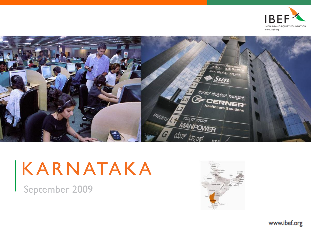



# KARNATAKA

September 2009

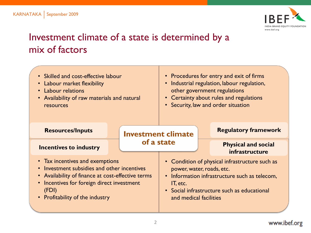

# Investment climate of a state is determined by a mix of factors

| • Skilled and cost-effective labour<br>• Labour market flexibility<br>• Labour relations<br>• Availability of raw materials and natural<br>resources                                                                          |  | • Procedures for entry and exit of firms<br>• Industrial regulation, labour regulation,<br>other government regulations<br>• Certainty about rules and regulations<br>• Security, law and order situation         |  |                                              |  |
|-------------------------------------------------------------------------------------------------------------------------------------------------------------------------------------------------------------------------------|--|-------------------------------------------------------------------------------------------------------------------------------------------------------------------------------------------------------------------|--|----------------------------------------------|--|
| <b>Resources/Inputs</b>                                                                                                                                                                                                       |  | <b>Investment climate</b><br>of a state                                                                                                                                                                           |  | <b>Regulatory framework</b>                  |  |
| <b>Incentives to industry</b>                                                                                                                                                                                                 |  |                                                                                                                                                                                                                   |  | <b>Physical and social</b><br>infrastructure |  |
| • Tax incentives and exemptions<br>• Investment subsidies and other incentives<br>• Availability of finance at cost-effective terms<br>• Incentives for foreign direct investment<br>(FDI)<br>• Profitability of the industry |  | • Condition of physical infrastructure such as<br>power, water, roads, etc.<br>• Information infrastructure such as telecom,<br>IT, etc.<br>• Social infrastructure such as educational<br>and medical facilities |  |                                              |  |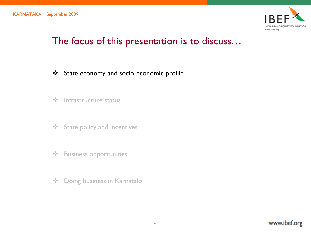

### The focus of this presentation is to discuss…

- State economy and socio-economic profile
- $\div$  Infrastructure status
- **❖** State policy and incentives
- ❖ Business opportunities
- **❖** Doing business in Karnataka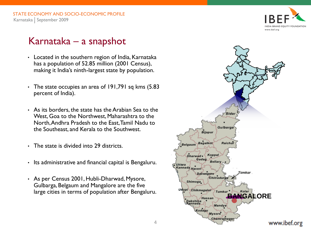

### Karnataka – a snapshot

- Located in the southern region of India, Karnataka has a population of 52.85 million (2001 Census), making it India's ninth-largest state by population.
- The state occupies an area of 191,791 sq kms (5.83) percent of India).
- As its borders, the state has the Arabian Sea to the West, Goa to the Northwest, Maharashtra to the North, Andhra Pradesh to the East, Tamil Nadu to the Southeast, and Kerala to the Southwest.
- The state is divided into 29 districts.
- Its administrative and financial capital is Bengaluru.
- As per Census 2001, Hubli-Dharwad, Mysore, Gulbarga, Belgaum and Mangalore are the five large cities in terms of population after Bengaluru.

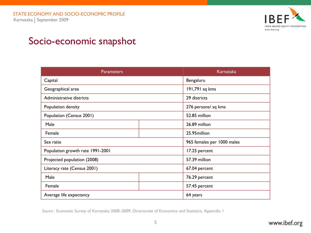

### Socio-economic snapshot

| <b>Parameters</b>                |  | Karnataka      |  |
|----------------------------------|--|----------------|--|
| Capital                          |  | Bengaluru      |  |
| Geographical area                |  | 191,791 sq kms |  |
| Administrative districts         |  | 29 districts   |  |
| Population density               |  |                |  |
| Population (Census 2001)         |  | 52.85 million  |  |
| Male                             |  | 26.89 million  |  |
| Female                           |  | 25.95 million  |  |
| Sex ratio                        |  |                |  |
| Population growth rate 1991-2001 |  | 17.25 percent  |  |
| Projected population (2008)      |  | 57.39 million  |  |
| Literacy rate (Census 2001)      |  | 67.04 percent  |  |
| Male                             |  | 76.29 percent  |  |
| Female                           |  | 57.45 percent  |  |
| Average life expectancy          |  | 64 years       |  |

*Source* : Economic Survey of Karnataka 2008–2009, Directorate of Economics and Statistics, Appendix 1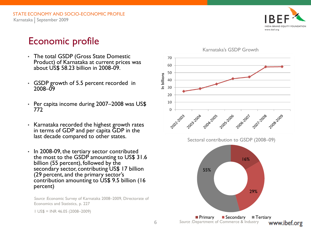

### Economic profile

- The total GSDP (Gross State Domestic Product) of Karnataka at current prices was about US\$ 58.23 billion in 2008-09.
- GSDP growth of 5.5 percent recorded in 2008–09
- Per capita income during 2007–2008 was US\$ 772
- Karnataka recorded the highest growth rates in terms of GDP and per capita GDP in the last decade compared to other states.
- In 2008-09, the tertiary sector contributed the most to the GSDP amounting to US\$ 31.6 billion (55 percent), followed by the secondary sector, contributing US\$ 17 billion (29 percent, and the primary sector's contribution amounting to US\$ 9.5 billion (16 percent)

*Source :*Economic Survey of Karnataka 2008–2009, Directorate of Economics and Statistics, p. 227

1 US\$ = INR 46.05 (2008–2009)

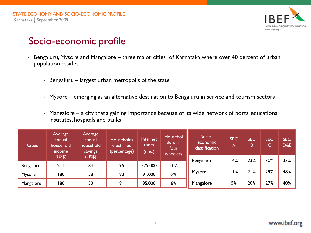

### Socio-economic profile

- Bengaluru, Mysore and Mangalore three major cities of Karnataka where over 40 percent of urban population resides
	- Bengaluru largest urban metropolis of the state
	- Mysore emerging as an alternative destination to Bengaluru in service and tourism sectors
	- Mangalore a city that's gaining importance because of its wide network of ports, educational institutes, hospitals and banks

| <b>Cities</b> | <b>Average</b><br>annual<br>household<br>income | Average<br>annual<br>household<br>savings | <b>Households</b><br>electrified<br>(percentage) | Internet<br>users<br>(nos.) | Househol<br>ds with<br>four<br>wheelers | Socio-<br>economic<br>classification | <b>SEC</b><br>A | <b>SEC</b><br>B | <b>SEC</b><br>ىرى. | <b>SEC</b><br>D&E |
|---------------|-------------------------------------------------|-------------------------------------------|--------------------------------------------------|-----------------------------|-----------------------------------------|--------------------------------------|-----------------|-----------------|--------------------|-------------------|
|               | (US\$)                                          | (US\$)                                    |                                                  |                             |                                         | Bengaluru                            | <b>14%</b>      | 23%             | 30%                | 33%               |
| Bengaluru     | 211                                             | 84                                        | 95                                               | 579,000                     | 10%                                     |                                      |                 |                 |                    |                   |
| Mysore        | 180                                             | 58                                        | 93                                               | 91,000                      | 9%                                      | Mysore                               | 1%              | 21%             | 29%                | 48%               |
| Mangalore     | 180                                             | 50                                        | 91                                               | 95,000                      | 6%                                      | Mangalore                            | 5%              | 20%             | 27%                | 40%               |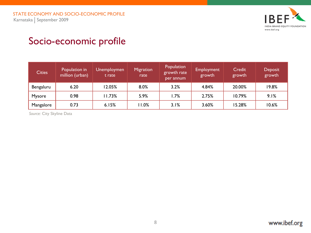

# Socio-economic profile

| <b>Cities</b> | Population in<br>million (urban) | <b>Unemploymen</b><br>t rate | <b>Migration</b><br>rate | Population<br>growth rate<br>per annum | <b>Employment</b><br>growth | Credit<br>growth | Deposit<br>growth |
|---------------|----------------------------------|------------------------------|--------------------------|----------------------------------------|-----------------------------|------------------|-------------------|
| Bengaluru     | 6.20                             | 12.05%                       | 8.0%                     | 3.2%                                   | 4.84%                       | 20.00%           | 19.8%             |
| Mysore        | 0.98                             | 11.73%                       | 5.9%                     | 1.7%                                   | 2.75%                       | 10.79%           | 9.1%              |
| Mangalore     | 0.73                             | 6.15%                        | 11.0%                    | 3.1%                                   | 3.60%                       | 15.28%           | 10.6%             |

*Source:* City Skyline Data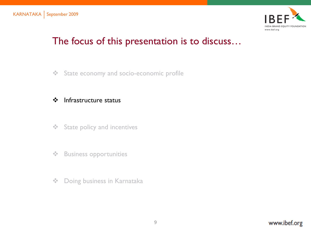

# The focus of this presentation is to discuss…

State economy and socio-economic profile

### ❖ Infrastructure status

- **❖** State policy and incentives
- ❖ Business opportunities
- **❖** Doing business in Karnataka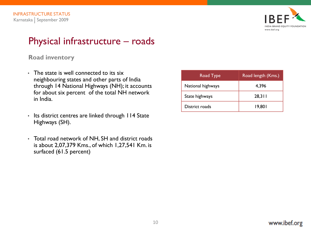

### Physical infrastructure – roads

#### **Road inventory**

- The state is well connected to its six neighbouring states and other parts of India through 14 National Highways (NH); it accounts for about six percent of the total NH network in India.
- Its district centres are linked through 114 State Highways (SH).
- Total road network of NH, SH and district roads is about 2,07,379 Kms., of which 1,27,541 Km. is surfaced (61.5 percent)

| Road Type         | Road length (Kms.) |
|-------------------|--------------------|
| National highways | 4,396              |
| State highways    | 28,311             |
| District roads    | 19,801             |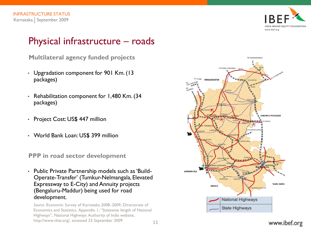

### Physical infrastructure – roads

**Multilateral agency funded projects**

- Upgradation component for 901 Km. (13 packages)
- Rehabilitation component for 1,480 Km. (34 packages)
- Project Cost: US\$ 447 million
- World Bank Loan: US\$ 399 million

**PPP in road sector development**

• Public Private Partnership models such as 'Build-Operate-Transfer' (Tumkur-Nelmangala, Elevated Expressway to E-City) and Annuity projects (Bengaluru-Maddur) being used for road development.

*Source :*Economic Survey of Karnataka 2008–2009, Directorate of Economics and Statistics, Appendix 1; "Statewise length of National Highways", National Highways Authority of India website, http://www.nhai.org/, accessed 23 September 2009

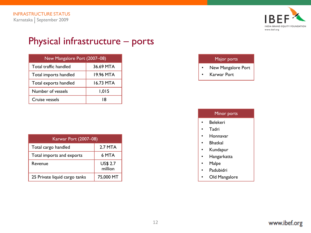

### Physical infrastructure – ports

| New Mangalore Port (2007-08) |           |  |  |  |
|------------------------------|-----------|--|--|--|
| Total traffic handled        | 36.69 MTA |  |  |  |
| Total imports handled        | 19.96 MTA |  |  |  |
| Total exports handled        | 16.73 MTA |  |  |  |
| Number of vessels            | 1,015     |  |  |  |
| Cruise vessels               | 18        |  |  |  |

| Karwar Port (2007-08)         |                            |
|-------------------------------|----------------------------|
| Total cargo handled           | 2.7 MTA                    |
| Total imports and exports     | 6 MTA                      |
| Revenue                       | <b>US\$ 2.7</b><br>million |
| 25 Private liquid cargo tanks | 75,000 MT                  |

#### Major ports

- New Mangalore Port
- Karwar Port

#### Minor ports • Belekeri • Tadri • Honnavar • Bhatkal • Kundapur • Hangarkatta • Malpe • Padubidri • Old Mangalore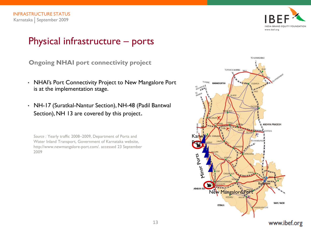

### Physical infrastructure – ports

**Ongoing NHAI port connectivity project**

- NHAI's Port Connectivity Project to New Mangalore Port is at the implementation stage.
- NH-17 (Suratkal-Nantur Section), NH-48 (Padil Bantwal Section), NH 13 are covered by this project.

*Source :* Yearly traffic 2008–2009, Department of Ports and Water Inland Transport, Government of Karnataka website, http://www.newmangalore-port.com/. accessed 23 September 2009

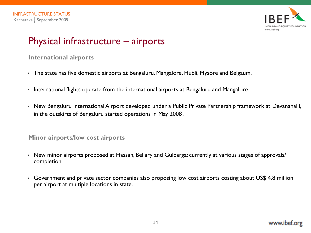

### Physical infrastructure – airports

#### **International airports**

- The state has five domestic airports at Bengaluru, Mangalore, Hubli, Mysore and Belgaum.
- International flights operate from the international airports at Bengaluru and Mangalore.
- New Bengaluru International Airport developed under a Public Private Partnership framework at Devanahalli, in the outskirts of Bengaluru started operations in May 2008.

#### **Minor airports/low cost airports**

- New minor airports proposed at Hassan, Bellary and Gulbarga; currently at various stages of approvals/ completion.
- Government and private sector companies also proposing low cost airports costing about US\$ 4.8 million per airport at multiple locations in state.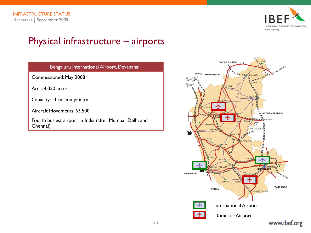

# Physical infrastructure – airports

| Bengaluru International Airport, Devanahalli            |
|---------------------------------------------------------|
| Commissioned: May 2008                                  |
| Area: 4,050 acres                                       |
| Capacity: 11 million pax p.a.                           |
| Aircraft Movements: 63,500                              |
| Equath businst airport in India (after Mumbai Dolbi and |

Fourth busiest airport in India (after Mumbai, Delhi and Chennai)

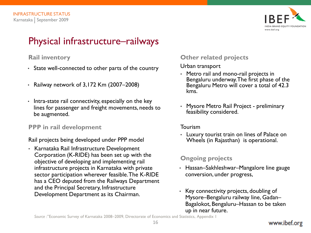

### Physical infrastructure–railways

### **Rail inventory**

- State well-connected to other parts of the country
- Railway network of 3,172 Km (2007–2008)
- Intra-state rail connectivity, especially on the key lines for passenger and freight movements, needs to be augmented.

#### **PPP in rail development**

Rail projects being developed under PPP model

• Karnataka Rail Infrastructure Development Corporation (K-RIDE) has been set up with the objective of developing and implementing rail infrastructure projects in Karnataka with private sector participation wherever feasible. The K-RIDE has a CEO deputed from the Railways Department and the Principal Secretary, Infrastructure Development Department as its Chairman.

### **Other related projects**

Urban transport

- Metro rail and mono-rail projects in Bengaluru underway. The first phase of the Bengaluru Metro will cover a total of 42.3 kms.
- Mysore Metro Rail Project preliminary feasibility considered.

#### Tourism

• Luxury tourist train on lines of Palace on Wheels (in Rajasthan) is operational.

### **Ongoing projects**

- Hassan–Sakhleshwar–Mangalore line gauge conversion, under progress,
- Key connectivity projects, doubling of Mysore–Bengaluru railway line, Gadan– Bagalokot, Bengaluru–Hassan to be taken up in near future.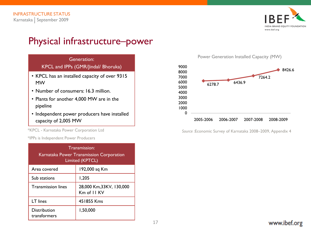

### Physical infrastructure–power



- Plants for another 4,000 MW are in the pipeline
- Independent power producers have installed capacity of 2,005 MW

\*KPCL - Karnataka Power Corporation Ltd

\*IPPs is Independent Power Producers

| Transmission:<br>Karnataka Power Transmission Corporation<br>Limited (KPTCL) |                                        |  |  |  |
|------------------------------------------------------------------------------|----------------------------------------|--|--|--|
| Area covered                                                                 | 192,000 sq Km                          |  |  |  |
| Sub stations                                                                 | 1,205                                  |  |  |  |
| <b>Transmission lines</b>                                                    | 28,000 Km,33KV, 130,000<br>Km of II KV |  |  |  |
| LT lines                                                                     | 451855 Kms                             |  |  |  |
| <b>Distribution</b><br>transformers                                          | 1,50,000                               |  |  |  |

Power Generation Installed Capacity (MW)



*Source :*Economic Survey of Karnataka 2008–2009, Appendix 4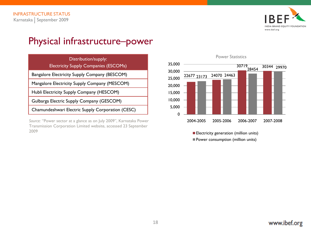

### Physical infrastructure–power

| Distribution/supply:<br><b>Electricity Supply Companies (ESCOMs)</b> | 35,000           | <b>Power Statistics</b><br>30719 |
|----------------------------------------------------------------------|------------------|----------------------------------|
| Bangalore Electricity Supply Company (BESCOM)                        | 30,000<br>25,000 | 24070 24463<br>22677 23173       |
| Mangalore Electricity Supply Company (MESCOM)                        | 20,000           |                                  |
| Hubli Electricity Supply Company (HESCOM)                            | 15,000           |                                  |
| Gulbarga Electric Supply Company (GESCOM)                            | 10,000           |                                  |
| Chamundeshwari Electric Supply Corporation (CESC)                    | 5,000            |                                  |

Source: "Power sector at a glance as on July 2009", Karnataka Power Transmission Corporation Limited website, accessed 23 September 2009





**Electricity generation (million units) Power consumption (million units)**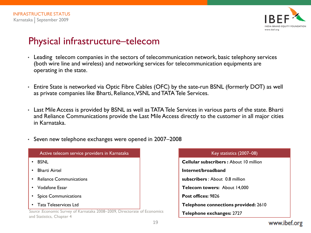

### Physical infrastructure–telecom

- Leading telecom companies in the sectors of telecommunication network, basic telephony services (both wire line and wireless) and networking services for telecommunication equipments are operating in the state.
- Entire State is networked via Optic Fibre Cables (OFC) by the sate-run BSNL (formerly DOT) as well as private companies like Bharti, Reliance, VSNL and TATA Tele Services.
- Last Mile Access is provided by BSNL as well as TATA Tele Services in various parts of the state. Bharti and Reliance Communications provide the Last Mile Access directly to the customer in all major cities in Karnataka.
- Seven new telephone exchanges were opened in 2007–2008

| Active telecom service providers in Karnataka                                                          | Key statistics (2)                 |
|--------------------------------------------------------------------------------------------------------|------------------------------------|
| $\cdot$ BSNL                                                                                           | <b>Cellular subscribers: About</b> |
| • Bharti Airtel                                                                                        | Internet/broadband                 |
| • Reliance Communications                                                                              | subscribers : About 0.8 millio     |
| • Vodafone Essar                                                                                       | Telecom towers: About 14,          |
| • Spice Communications                                                                                 | Post offices: 9826                 |
| • Tata Teleservices Ltd                                                                                | <b>Telephone connections pro</b>   |
| Source : Economic Survey of Karnataka 2008-2009, Directorate of Economics<br>and Statistics, Chapter 4 | Telephone exchanges: 2727          |
|                                                                                                        |                                    |

| Key statistics (2007-08)                      |
|-----------------------------------------------|
| <b>Cellular subscribers:</b> About 10 million |
| Internet/broadband                            |
| subscribers: About 0.8 million                |
| Telecom towers: About 14,000                  |
| Post offices: 9826                            |
| Telephone connections provided: 2610          |
| Telephone exchanges: 2727                     |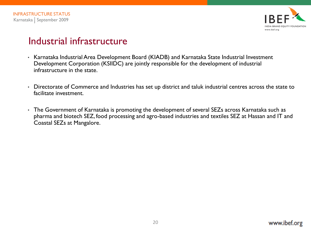

### Industrial infrastructure

- Karnataka Industrial Area Development Board (KIADB) and Karnataka State Industrial Investment Development Corporation (KSIIDC) are jointly responsible for the development of industrial infrastructure in the state.
- Directorate of Commerce and Industries has set up district and taluk industrial centres across the state to facilitate investment.
- The Government of Karnataka is promoting the development of several SEZs across Karnataka such as pharma and biotech SEZ, food processing and agro-based industries and textiles SEZ at Hassan and IT and Coastal SEZs at Mangalore.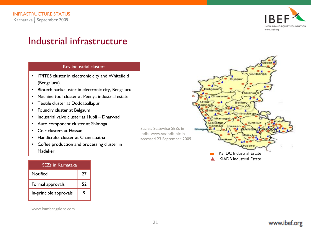

### Industrial infrastructure

#### Key industrial clusters

- IT/ITES cluster in electronic city and Whitefield (Bengaluru).
- Biotech park/cluster in electronic city, Bengaluru
- Machine tool cluster at Peenya industrial estate
- Textile cluster at Doddaballapur
- Foundry cluster at Belgaum
- Industrial valve cluster at Hubli Dharwad
- Auto component cluster at Shimoga
- Coir clusters at Hassan
- Handicrafts cluster at Channapatna
- Coffee production and processing cluster in Madekeri.

| SEZs in Karnataka      |    |  |
|------------------------|----|--|
| Notified               | 27 |  |
| Formal approvals       | 52 |  |
| In-principle approvals | 9  |  |

www.kumbangalore.com

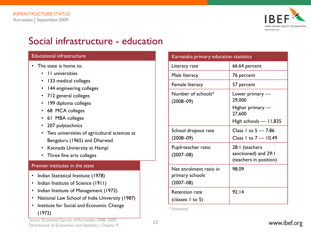

### Social infrastructure - education

#### Educational infrastructure

- The state is home to:
	- 11 universities
	- 133 medical colleges
	- 144 engineering colleges
	- 712 general colleges
	- 199 diploma colleges
	- 68 MCA colleges
	- 61 MBA colleges
	- 207 polytechnics
	- Two universities of agricultural sciences at Bengaluru (1965) and Dharwad
	- Kannada University at Hampi
	- Three fine arts colleges

#### Premier institutes in the state

- Indian Statistical Institute (1978)
- Indian Institute of Science (1911)
- Indian Institute of Management (1972)
- National Law School of India University (1987)
- Institute for Social and Economic Change (1972)

| Karnataka primary education statistics                     |                                                                  |
|------------------------------------------------------------|------------------------------------------------------------------|
| Literacy rate                                              | 66.64 percent                                                    |
| Male literacy                                              | 76 percent                                                       |
| Female literacy                                            | 57 percent                                                       |
| Number of schools*<br>$(2008 - 09)$                        | Lower primary $-$<br>29,000                                      |
|                                                            | Higher primary —<br>27,600                                       |
|                                                            | High schools $-11,835$                                           |
| School dropout rate                                        | Class 1 to $5 - 7.86$                                            |
| $(2008 - 09)$                                              | Class 1 to 7 - 10.49                                             |
| Pupil-teacher ratio<br>$(2007 - 08)$                       | 28:1 (teachers<br>sanctioned) and 29:1<br>(teachers in position) |
| Net enrolment ratio in<br>primary schools<br>$(2007 - 08)$ | 98.09                                                            |
| <b>Retention rate</b><br>(classes 1 to 5)                  | 92.14                                                            |

\* Estimates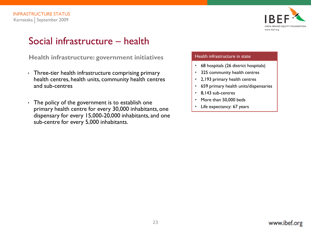

# Social infrastructure – health

**Health infrastructure: government initiatives**

- Three-tier health infrastructure comprising primary health centres, health units, community health centres and sub-centres
- The policy of the government is to establish one primary health centre for every 30,000 inhabitants, one dispensary for every 15,000-20,000 inhabitants, and one sub-centre for every 5,000 inhabitants.

#### Health infrastructure in state

- 68 hospitals (26 district hospitals)
- 325 community health centres
- 2,193 primary health centres
- 659 primary health units/dispensaries
- 8,143 sub-centres
- More than 50,000 beds
- Life expectancy: 67 years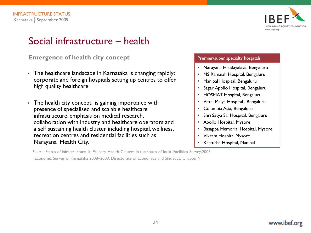

### Social infrastructure – health

#### **Emergence of health city concept**

- The healthcare landscape in Karnataka is changing rapidly; corporate and foreign hospitals setting up centres to offer high quality healthcare
- The health city concept is gaining importance with presence of specialised and scalable healthcare infrastructure, emphasis on medical research, collaboration with industry and healthcare operators and a self sustaining health cluster including hospital, wellness, recreation centres and residential facilities such as Narayana Health City.

#### Premier/super specialty hospitals

- Narayana Hrudayalaya, Bengaluru
- MS Ramaiah Hospital, Bengaluru
- Manipal Hospital, Bengaluru
- Sagar Apollo Hospital, Bengaluru
- HOSMAT Hospital, Bengaluru
- Vittal Malya Hospital , Bengaluru
- Columbia Asia, Bengaluru
- Shri Satya Sai Hospital, Bengaluru
- Apollo Hospital, Mysore
- Basappa Memorial Hospital, Mysore
- Vikram Hospital,Mysore
- Kasturba Hospital, Manipal

*Source:* Status of infrastructure in Primary Health Centres in the states of India ,Facilities Survey,2003,

:Economic Survey of Karnataka 2008–2009, Directorate of Economics and Statistics, Chapter 9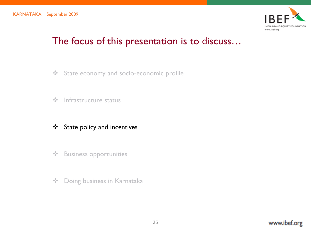

# The focus of this presentation is to discuss…

- State economy and socio-economic profile
- $\div$  Infrastructure status
- State policy and incentives
- ❖ Business opportunities
- **❖** Doing business in Karnataka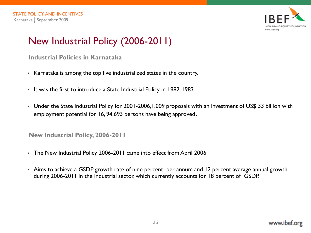

# New Industrial Policy (2006-2011)

**Industrial Policies in Karnataka**

- Karnataka is among the top five industrialized states in the country.
- It was the first to introduce a State Industrial Policy in 1982-1983
- Under the State Industrial Policy for 2001-2006,1,009 proposals with an investment of US\$ 33 billion with employment potential for 16, 94,693 persons have being approved.

**New Industrial Policy, 2006-2011**

- The New Industrial Policy 2006-2011 came into effect from April 2006
- Aims to achieve a GSDP growth rate of nine percent per annum and 12 percent average annual growth during 2006-2011 in the industrial sector, which currently accounts for 18 percent of GSDP.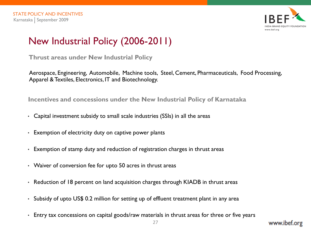

# New Industrial Policy (2006-2011)

**Thrust areas under New Industrial Policy**

Aerospace, Engineering, Automobile, Machine tools, Steel, Cement, Pharmaceuticals, Food Processing, Apparel & Textiles, Electronics, IT and Biotechnology.

**Incentives and concessions under the New Industrial Policy of Karnataka**

- Capital investment subsidy to small scale industries (SSIs) in all the areas
- Exemption of electricity duty on captive power plants
- Exemption of stamp duty and reduction of registration charges in thrust areas
- Waiver of conversion fee for upto 50 acres in thrust areas
- Reduction of 18 percent on land acquisition charges through KIADB in thrust areas
- Subsidy of upto US\$ 0.2 million for setting up of effluent treatment plant in any area
- Entry tax concessions on capital goods/raw materials in thrust areas for three or five years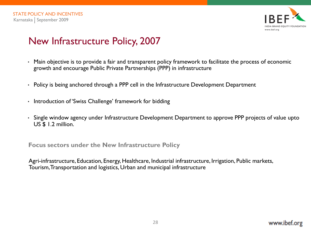

# New Infrastructure Policy, 2007

- Main objective is to provide a fair and transparent policy framework to facilitate the process of economic growth and encourage Public Private Partnerships (PPP) in infrastructure
- Policy is being anchored through a PPP cell in the Infrastructure Development Department
- Introduction of 'Swiss Challenge' framework for bidding
- Single window agency under Infrastructure Development Department to approve PPP projects of value upto US \$ 1.2 million.

**Focus sectors under the New Infrastructure Policy**

Agri-infrastructure, Education, Energy, Healthcare, Industrial infrastructure, Irrigation, Public markets, Tourism, Transportation and logistics, Urban and municipal infrastructure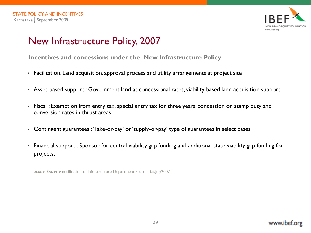

# New Infrastructure Policy, 2007

**Incentives and concessions under the New Infrastructure Policy**

- Facilitation: Land acquisition, approval process and utility arrangements at project site
- Asset-based support : Government land at concessional rates, viability based land acquisition support
- Fiscal : Exemption from entry tax, special entry tax for three years; concession on stamp duty and conversion rates in thrust areas
- Contingent guarantees : 'Take-or-pay' or 'supply-or-pay' type of guarantees in select cases
- Financial support : Sponsor for central viability gap funding and additional state viability gap funding for projects.

*Source:* Gazette notification of Infrastructure Department Secretatiat,July2007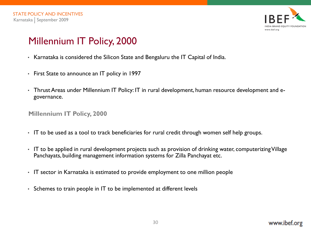

# Millennium IT Policy, 2000

- Karnataka is considered the Silicon State and Bengaluru the IT Capital of India.
- First State to announce an IT policy in 1997
- Thrust Areas under Millennium IT Policy: IT in rural development, human resource development and egovernance.

#### **Millennium IT Policy, 2000**

- IT to be used as a tool to track beneficiaries for rural credit through women self help groups.
- IT to be applied in rural development projects such as provision of drinking water, computerizing Village Panchayats, building management information systems for Zilla Panchayat etc.
- IT sector in Karnataka is estimated to provide employment to one million people
- Schemes to train people in IT to be implemented at different levels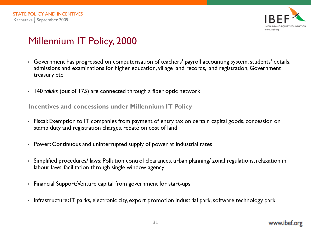

# Millennium IT Policy, 2000

- Government has progressed on computerisation of teachers' payroll accounting system, students' details, admissions and examinations for higher education, village land records, land registration, Government treasury etc
- 140 *taluks* (out of 175) are connected through a fiber optic network

**Incentives and concessions under Millennium IT Policy**

- Fiscal: Exemption to IT companies from payment of entry tax on certain capital goods, concession on stamp duty and registration charges, rebate on cost of land
- Power: Continuous and uninterrupted supply of power at industrial rates
- Simplified procedures/ laws: Pollution control clearances, urban planning/ zonal regulations, relaxation in labour laws, facilitation through single window agency
- Financial Support: Venture capital from government for start-ups
- Infrastructure**:** IT parks, electronic city, export promotion industrial park, software technology park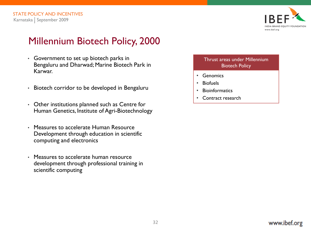

# Millennium Biotech Policy, 2000

- Government to set up biotech parks in Bengaluru and Dharwad; Marine Biotech Park in Karwar.
- Biotech corridor to be developed in Bengaluru
- Other institutions planned such as Centre for Human Genetics, Institute of Agri-Biotechnology
- Measures to accelerate Human Resource Development through education in scientific computing and electronics
- Measures to accelerate human resource development through professional training in scientific computing

#### Thrust areas under Millennium Biotech Policy

- Genomics
- Biofuels
- Bioinformatics
- Contract research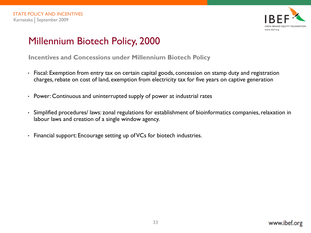

# Millennium Biotech Policy, 2000

**Incentives and Concessions under Millennium Biotech Policy**

- Fiscal: Exemption from entry tax on certain capital goods, concession on stamp duty and registration charges, rebate on cost of land, exemption from electricity tax for five years on captive generation
- Power: Continuous and uninterrupted supply of power at industrial rates
- Simplified procedures/ laws: zonal regulations for establishment of bioinformatics companies, relaxation in labour laws and creation of a single window agency.
- Financial support: Encourage setting up of VCs for biotech industries.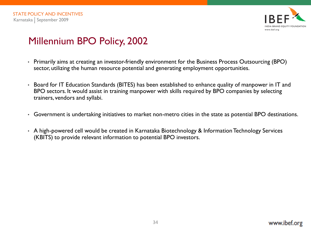

# Millennium BPO Policy, 2002

- Primarily aims at creating an investor-friendly environment for the Business Process Outsourcing (BPO) sector, utilizing the human resource potential and generating employment opportunities.
- Board for IT Education Standards (BITES) has been established to enhance quality of manpower in IT and BPO sectors. It would assist in training manpower with skills required by BPO companies by selecting trainers, vendors and syllabi.
- Government is undertaking initiatives to market non-metro cities in the state as potential BPO destinations.
- A high-powered cell would be created in Karnataka Biotechnology & Information Technology Services (KBITS) to provide relevant information to potential BPO investors.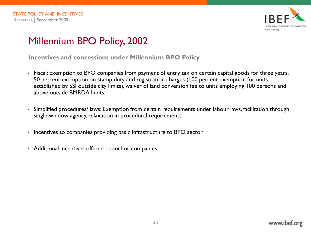

# Millennium BPO Policy, 2002

**Incentives and concessions under Millennium BPO Policy**

- Fiscal: Exemption to BPO companies from payment of entry tax on certain capital goods for three years, 50 percent exemption on stamp duty and registration charges (100 percent exemption for units established by SSI outside city limits), waiver of land conversion fee to units employing 100 persons and above outside BMRDA limits.
- Simplified procedures/ laws: Exemption from certain requirements under labour laws, facilitation through single window agency, relaxation in procedural requirements.
- Incentives to companies providing basic infrastructure to BPO sector
- Additional incentives offered to anchor companies.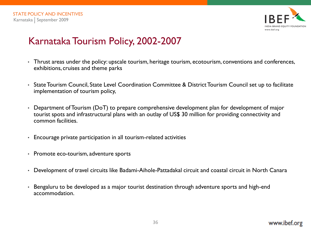

# Karnataka Tourism Policy, 2002-2007

- Thrust areas under the policy: upscale tourism, heritage tourism, ecotourism, conventions and conferences, exhibitions, cruises and theme parks
- State Tourism Council, State Level Coordination Committee & District Tourism Council set up to facilitate implementation of tourism policy,
- Department of Tourism (DoT) to prepare comprehensive development plan for development of major tourist spots and infrastructural plans with an outlay of US\$ 30 million for providing connectivity and common facilities.
- Encourage private participation in all tourism-related activities
- Promote eco-tourism, adventure sports
- Development of travel circuits like Badami-Aihole-Pattadakal circuit and coastal circuit in North Canara
- Bengaluru to be developed as a major tourist destination through adventure sports and high-end accommodation.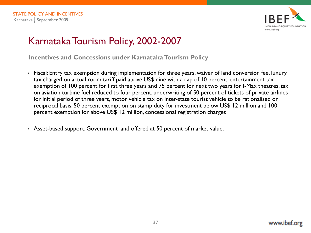

# Karnataka Tourism Policy, 2002-2007

**Incentives and Concessions under Karnataka Tourism Policy**

- Fiscal: Entry tax exemption during implementation for three years, waiver of land conversion fee, luxury tax charged on actual room tariff paid above US\$ nine with a cap of 10 percent, entertainment tax exemption of 100 percent for first three years and 75 percent for next two years for I-Max theatres, tax on aviation turbine fuel reduced to four percent, underwriting of 50 percent of tickets of private airlines for initial period of three years, motor vehicle tax on inter-state tourist vehicle to be rationalised on reciprocal basis, 50 percent exemption on stamp duty for investment below US\$ 12 million and 100 percent exemption for above US\$ 12 million, concessional registration charges
- Asset-based support: Government land offered at 50 percent of market value.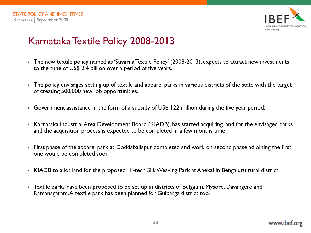

# Karnataka Textile Policy 2008-2013

- The new textile policy named as 'Suvarna Textile Policy' (2008-2013), expects to attract new investments to the tune of US\$ 2.4 billion over a period of five years.
- The policy envisages setting up of textile and apparel parks in various districts of the state with the target of creating 500,000 new job opportunities.
- Government assistance in the form of a subsidy of US\$ 122 million during the five year period,
- Karnataka Industrial Area Development Board (KIADB), has started acquiring land for the envisaged parks and the acquisition process is expected to be completed in a few months time
- First phase of the apparel park at Doddaballapur completed and work on second phase adjoining the first one would be completed soon
- KIADB to allot land for the proposed Hi-tech Silk Weaving Park at Anekal in Bengaluru rural district
- Textile parks have been proposed to be set up in districts of Belgaum, Mysore, Davangere and Ramanagaram. A textile park has been planned for Gulbarga district too.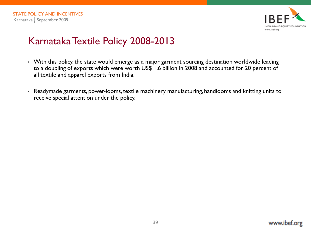

# Karnataka Textile Policy 2008-2013

- With this policy, the state would emerge as a major garment sourcing destination worldwide leading to a doubling of exports which were worth US\$ 1.6 billion in 2008 and accounted for 20 percent of all textile and apparel exports from India.
- Readymade garments, power-looms, textile machinery manufacturing, handlooms and knitting units to receive special attention under the policy.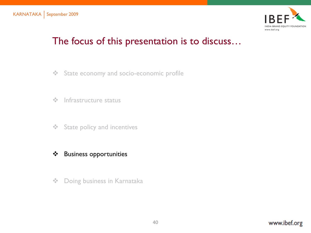

# The focus of this presentation is to discuss…

- State economy and socio-economic profile
- $\div$  Infrastructure status
- **❖** State policy and incentives
- Business opportunities
- **❖** Doing business in Karnataka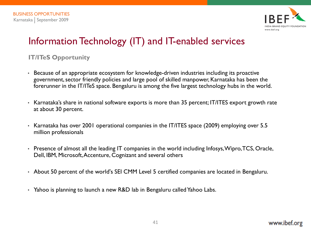

# Information Technology (IT) and IT-enabled services

## **IT/ITeS Opportunity**

- Because of an appropriate ecosystem for knowledge-driven industries including its proactive government, sector friendly policies and large pool of skilled manpower, Karnataka has been the forerunner in the IT/ITeS space. Bengaluru is among the five largest technology hubs in the world.
- Karnataka's share in national software exports is more than 35 percent; IT/ITES export growth rate at about 30 percent.
- Karnataka has over 2001 operational companies in the IT/ITES space (2009) employing over 5.5 million professionals
- Presence of almost all the leading IT companies in the world including Infosys, Wipro, TCS, Oracle, Dell, IBM, Microsoft, Accenture, Cognizant and several others
- About 50 percent of the world's SEI CMM Level 5 certified companies are located in Bengaluru.
- Yahoo is planning to launch a new R&D lab in Bengaluru called Yahoo Labs.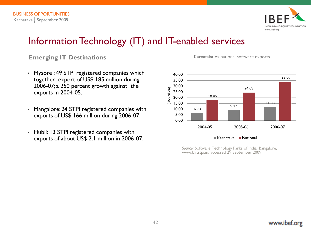

## Information Technology (IT) and IT-enabled services

#### **Emerging IT Destinations Emerging IT Destinations Karnataka Vs national software exports**

- Mysore : 49 STPI registered companies which together export of US\$ 185 million during 2006-07; a 250 percent growth against the exports in 2004-05.
- Mangalore: 24 STPI registered companies with exports of US\$ 166 million during 2006-07.
- Hubli**:** 13 STPI registered companies with exports of about US\$ 2.1 million in 2006-07.

 $-6.73$ 9.17 11.88 18.05 24.63 33.66 0.00 5.00 10.00 15.00 20.00 25.00 30.00 35.00 40.00 2004-05 2005-06 2006-07 (US\$ billion)

 $\blacksquare$  Karnataka  $\blacksquare$  National

*Source:* Software Technology Parks of India, Bangalore, www.blr.stpi.in, accessed 29 September 2009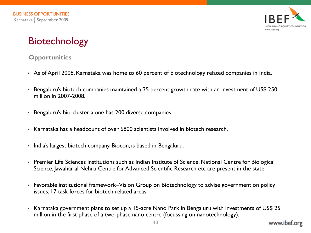

# Biotechnology

### **Opportunities**

- As of April 2008, Karnataka was home to 60 percent of biotechnology related companies in India.
- Bengaluru's biotech companies maintained a 35 percent growth rate with an investment of US\$ 250 million in 2007-2008.
- Bengaluru's bio-cluster alone has 200 diverse companies
- Karnataka has a headcount of over 6800 scientists involved in biotech research.
- India's largest biotech company, Biocon, is based in Bengaluru.
- Premier Life Sciences institutions such as Indian Institute of Science, National Centre for Biological Science, Jawaharlal Nehru Centre for Advanced Scientific Research etc are present in the state.
- Favorable institutional framework–Vision Group on Biotechnology to advise government on policy issues; 17 task forces for biotech related areas.
- Karnataka government plans to set up a 15-acre Nano Park in Bengaluru with investments of US\$ 25 million in the first phase of a two-phase nano centre (focussing on nanotechnology).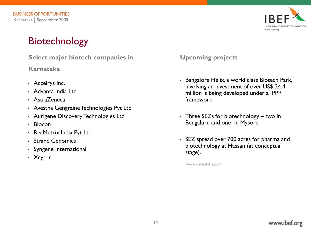# Biotechnology

**Select major biotech companies in** 

**Karnataka**

- Accelrys Inc.
- Advanta India Ltd
- AstraZeneca
- Avestha Gengraine Technologies Pvt Ltd
- Aurigene Discovery Technologies Ltd
- Biocon
- ReaMetrix India Pvt Ltd
- Strand Genomics
- Syngene International
- Xcyton

**Upcoming projects**

- Bangalore Helix, a world class Biotech Park, involving an investment of over US\$ 24.4 million is being developed under a PPP framework
- Three SEZs for biotechnology two in Bengaluru and one in Mysore
- SEZ spread over 700 acres for pharma and biotechnology at Hassan (at conceptual stage).

www.karnataka.com

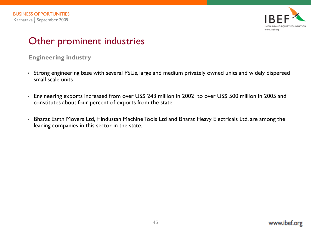

#### **Engineering industry**

- Strong engineering base with several PSUs, large and medium privately owned units and widely dispersed small scale units
- Engineering exports increased from over US\$ 243 million in 2002 to over US\$ 500 million in 2005 and constitutes about four percent of exports from the state
- Bharat Earth Movers Ltd, Hindustan Machine Tools Ltd and Bharat Heavy Electricals Ltd, are among the leading companies in this sector in the state.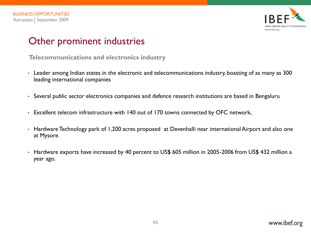

**Telecommunications and electronics industry**

- Leader among Indian states in the electronic and telecommunications industry, boasting of as many as 300 leading international companies
- Several public sector electronics companies and defence research institutions are based in Bengaluru
- Excellent telecom infrastructure with 140 out of 170 towns connected by OFC network,
- Hardware Technology park of 1,200 acres proposed at Devenhalli near international Airport and also one at Mysore.
- Hardware exports have increased by 40 percent to US\$ 605 million in 2005-2006 from US\$ 432 million a year ago.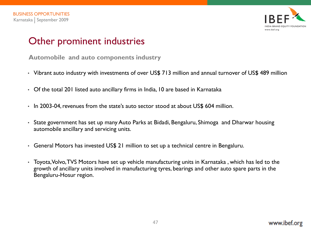

**Automobile and auto components industry**

- Vibrant auto industry with investments of over US\$ 713 million and annual turnover of US\$ 489 million
- Of the total 201 listed auto ancillary firms in India, 10 are based in Karnataka
- In 2003-04, revenues from the state's auto sector stood at about US\$ 604 million.
- State government has set up many Auto Parks at Bidadi, Bengaluru, Shimoga and Dharwar housing automobile ancillary and servicing units.
- General Motors has invested US\$ 21 million to set up a technical centre in Bengaluru.
- Toyota, Volvo, TVS Motors have set up vehicle manufacturing units in Karnataka , which has led to the growth of ancillary units involved in manufacturing tyres, bearings and other auto spare parts in the Bengaluru-Hosur region.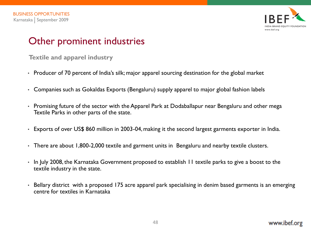

**Textile and apparel industry** 

- Producer of 70 percent of India's silk; major apparel sourcing destination for the global market
- Companies such as Gokaldas Exports (Bengaluru) supply apparel to major global fashion labels
- Promising future of the sector with the Apparel Park at Dodaballapur near Bengaluru and other mega Textile Parks in other parts of the state.
- Exports of over US\$ 860 million in 2003-04, making it the second largest garments exporter in India.
- There are about 1,800-2,000 textile and garment units in Bengaluru and nearby textile clusters.
- In July 2008, the Karnataka Government proposed to establish 11 textile parks to give a boost to the textile industry in the state.
- Bellary district with a proposed 175 acre apparel park specialising in denim based garments is an emerging centre for textiles in Karnataka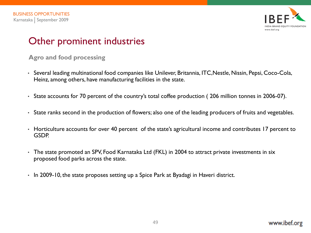

**Agro and food processing** 

- Several leading multinational food companies like Unilever, Britannia, ITC,Nestle, Nissin, Pepsi, Coco-Cola, Heinz, among others, have manufacturing facilities in the state.
- State accounts for 70 percent of the country's total coffee production ( 206 million tonnes in 2006-07).
- State ranks second in the production of flowers; also one of the leading producers of fruits and vegetables.
- Horticulture accounts for over 40 percent of the state's agricultural income and contributes 17 percent to GSDP.
- The state promoted an SPV, Food Karnataka Ltd (FKL) in 2004 to attract private investments in six proposed food parks across the state.
- In 2009-10, the state proposes setting up a Spice Park at Byadagi in Haveri district.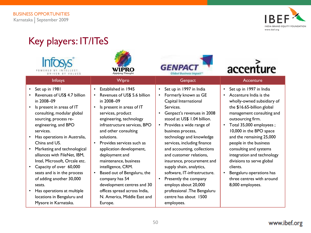

# Key players: IT/ITeS

|                                                                                                                                                                                                                                                                                                                                                                                                                                                                      |           |                                                                                                                                                                                                                                                                                                                                                                                                                                                               |                                                  | <b>GENPAC</b>                                                                                                                                                                                                                                                                                                                                                                                                                                                                                      |                        | accenture                                                                                                                                                                                                                                                                                                                                                                                                                                                 |
|----------------------------------------------------------------------------------------------------------------------------------------------------------------------------------------------------------------------------------------------------------------------------------------------------------------------------------------------------------------------------------------------------------------------------------------------------------------------|-----------|---------------------------------------------------------------------------------------------------------------------------------------------------------------------------------------------------------------------------------------------------------------------------------------------------------------------------------------------------------------------------------------------------------------------------------------------------------------|--------------------------------------------------|----------------------------------------------------------------------------------------------------------------------------------------------------------------------------------------------------------------------------------------------------------------------------------------------------------------------------------------------------------------------------------------------------------------------------------------------------------------------------------------------------|------------------------|-----------------------------------------------------------------------------------------------------------------------------------------------------------------------------------------------------------------------------------------------------------------------------------------------------------------------------------------------------------------------------------------------------------------------------------------------------------|
| <b>Infosys</b>                                                                                                                                                                                                                                                                                                                                                                                                                                                       |           | Wipro                                                                                                                                                                                                                                                                                                                                                                                                                                                         |                                                  | Genpact                                                                                                                                                                                                                                                                                                                                                                                                                                                                                            |                        | Accenture                                                                                                                                                                                                                                                                                                                                                                                                                                                 |
| Set up in 1981<br>Revenues of US\$ 4.7 billion<br>in 2008-09<br>Is present in areas of IT<br>consulting, modular global<br>sourcing, process re-<br>engineering, and BPO<br>services.<br>Has operations in Australia,<br>China and US.<br>Marketing and technological<br>alliances with FileNet, IBM,<br>Intel, Microsoft, Orcale etc.<br>Capacity of over 60,000<br>seats and is in the process<br>of adding another 30,000<br>seats.<br>Has operations at multiple | $\bullet$ | Established in 1945<br>Revenues of US\$ 5.6 billion<br>in 2008-09<br>Is present in areas of IT<br>services, product<br>engineering, technology<br>infrastructure services, BPO<br>and other consulting<br>solutions.<br>Provides services such as<br>application development,<br>deployment and<br>maintenance, business<br>intelligence, CRM.<br>Based out of Bengaluru, the<br>company has 54<br>development centres and 30<br>offices spread across India, | $\bullet$<br>$\bullet$<br>$\bullet$<br>$\bullet$ | Set up in 1997 in India<br>Formerly known as GE<br>Capital International<br>Services.<br>Genpact's revenues in 2008<br>stood at US\$ 1.04 billion.<br>Provides a wide range of<br>business process,<br>technology and knowledge<br>services, including finance<br>and accounting, collections<br>and customer relations,<br>insurance, procurement and<br>supply shain, analytics,<br>software, IT-infrastructure.<br>Presently the company<br>employs about 20,000<br>professional .The Bengaluru | $\bullet$<br>$\bullet$ | Set up in 1997 in India<br>Accenture India is the<br>wholly-owned subsidiary of<br>the \$16.65-billion global<br>management consulting and<br>outsourcing firm.<br>Total 35,000 employees;<br>10,000 in the BPO space<br>and the remaining 25,000<br>people in the business<br>consulting and systems<br>integration and technology<br>divisions to serve global<br>clients.<br>Bengaluru operations has<br>three centres with around<br>8,000 employees. |
| locations in Bengaluru and<br>Mysore in Karnataka.                                                                                                                                                                                                                                                                                                                                                                                                                   |           | N. America, Middle East and<br>Europe.                                                                                                                                                                                                                                                                                                                                                                                                                        |                                                  | centre has about 1500<br>employees.                                                                                                                                                                                                                                                                                                                                                                                                                                                                |                        |                                                                                                                                                                                                                                                                                                                                                                                                                                                           |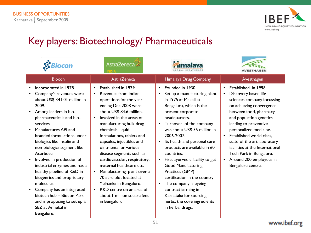

# Key players: Biotechnology/ Pharmaceuticals

|                                                                                                                                                                                                                                                                                                                                                                                                                                                                                                                                                                            | AstraZeneca                                                                                                                                                                                                                                                                                                                                                                                                                                                                                                                                                   |                                                                                                                                                                                                                                                                                                                                                                                                                                                                                                                                                                                                                                |                                                                                                                                                                                                                                                                                                                                                                                                                                            |
|----------------------------------------------------------------------------------------------------------------------------------------------------------------------------------------------------------------------------------------------------------------------------------------------------------------------------------------------------------------------------------------------------------------------------------------------------------------------------------------------------------------------------------------------------------------------------|---------------------------------------------------------------------------------------------------------------------------------------------------------------------------------------------------------------------------------------------------------------------------------------------------------------------------------------------------------------------------------------------------------------------------------------------------------------------------------------------------------------------------------------------------------------|--------------------------------------------------------------------------------------------------------------------------------------------------------------------------------------------------------------------------------------------------------------------------------------------------------------------------------------------------------------------------------------------------------------------------------------------------------------------------------------------------------------------------------------------------------------------------------------------------------------------------------|--------------------------------------------------------------------------------------------------------------------------------------------------------------------------------------------------------------------------------------------------------------------------------------------------------------------------------------------------------------------------------------------------------------------------------------------|
| <b>Biocon</b>                                                                                                                                                                                                                                                                                                                                                                                                                                                                                                                                                              | AstraZeneca                                                                                                                                                                                                                                                                                                                                                                                                                                                                                                                                                   | Himalaya Drug Company                                                                                                                                                                                                                                                                                                                                                                                                                                                                                                                                                                                                          | Avesthagen                                                                                                                                                                                                                                                                                                                                                                                                                                 |
| Incorporated in 1978<br>$\bullet$<br>Company's revenues were<br>about US\$ 341.01 million in<br>2009.<br>Among leaders in bio-<br>pharmaceuticals and bio-<br>services.<br>Manufactures API and<br>branded formulations under<br>biologics like Insulin and<br>non-biologics segment like<br>Acarbose.<br>Involved in production of<br>industrial enzymes and has a<br>healthy pipeline of R&D in<br>biogenrics and proprietary<br>molecules.<br>Company has an integrated<br>biotech hub - Biocon Park<br>and is proposing to set up a<br>SEZ at Annekal in<br>Bengaluru. | Established in 1979<br>Revenues from Indian<br>operations for the year<br>ending Dec 2008 were<br>about US\$ 84.6 million.<br>Involved in the areas of<br>manufacturing bulk drug<br>chemicals, liquid<br>formulations, tablets and<br>capsules, injectibles and<br>ointments for various<br>disease segments such as<br>cardiovascular, respiratory,<br>maternal healthcare etc.<br>Manufacturing plant over a<br>70 acre plot located at<br>Yelhanka in Bengaluru.<br>R&D centre on an area of<br>$\bullet$<br>about I million square feet<br>in Bengaluru. | Founded in 1930<br>$\bullet$<br>Set up a manufacturing plant<br>$\bullet$<br>in 1975 at Makali at<br>Bengaluru, which is the<br>present corporate<br>headquarters.<br>Turnover of the company<br>$\bullet$<br>was about US\$ 35 million in<br>2006-2007.<br>Its health and personal care<br>$\bullet$<br>products are available in 60<br>countries.<br>First ayurvedic facility to get<br>$\bullet$<br><b>Good Manufacturing</b><br>Practices (GMP)<br>certification in the country.<br>The company is eyeing<br>$\bullet$<br>contract farming in<br>Karnataka for sourcing<br>herbs, the core ingredients<br>in herbal drugs. | Established in 1998<br>$\bullet$<br>Discovery based life<br>$\bullet$<br>sciences company focussing<br>on achieving convergence<br>between food, pharmacy<br>and population genetics<br>leading to preventive<br>personalized medicine.<br>Established world class,<br>$\bullet$<br>state-of-the-art laboratory<br>facilities at the International<br>Tech Park in Bengaluru.<br>Around 200 employees in<br>$\bullet$<br>Bengaluru centre. |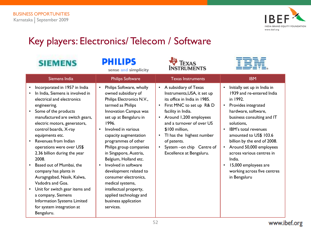

# Key players: Electronics/ Telecom / Software

| <b>SIEMENS</b>                                                                                                                                                                                                                                                                                                                                                                                                                                                                                                                                                                               | <b>PHILIPS</b><br>sense and simplicity                                                                                                                                                                                                                                                                                                                                                                                                                                                                     | <b>EXAS</b><br><b>INSTRUMENTS</b>                                                                                                                                                                                                                                                                                                                              |                                                                                                                                                                                                                                                                                                                                                                                                               |
|----------------------------------------------------------------------------------------------------------------------------------------------------------------------------------------------------------------------------------------------------------------------------------------------------------------------------------------------------------------------------------------------------------------------------------------------------------------------------------------------------------------------------------------------------------------------------------------------|------------------------------------------------------------------------------------------------------------------------------------------------------------------------------------------------------------------------------------------------------------------------------------------------------------------------------------------------------------------------------------------------------------------------------------------------------------------------------------------------------------|----------------------------------------------------------------------------------------------------------------------------------------------------------------------------------------------------------------------------------------------------------------------------------------------------------------------------------------------------------------|---------------------------------------------------------------------------------------------------------------------------------------------------------------------------------------------------------------------------------------------------------------------------------------------------------------------------------------------------------------------------------------------------------------|
| Siemens India                                                                                                                                                                                                                                                                                                                                                                                                                                                                                                                                                                                | <b>Philips Software</b>                                                                                                                                                                                                                                                                                                                                                                                                                                                                                    | <b>Texas Instruments</b>                                                                                                                                                                                                                                                                                                                                       | <b>IBM</b>                                                                                                                                                                                                                                                                                                                                                                                                    |
| Incorporated in 1957 in India<br>In India, Siemens is involved in<br>electrical and electronics<br>engineering.<br>Some of the products<br>manufactured are switch gears,<br>electric motors, generators,<br>control boards, X-ray<br>equipments etc.<br>Revenues from Indian<br>operations were over US\$<br>2.36 billion during the year<br>2008.<br>Based out of Mumbai, the<br>company has plants in<br>Auragngabad, Nasik, Kalwa,<br>Vadodra and Goa.<br>Unit for switch gear items and<br>a company, Siemens<br>Information Systems Limited<br>for system integration at<br>Bengaluru. | Philips Software, wholly<br>owned subsidiary of<br>Philips Electronics N.V.,<br>termed as Philips<br>Innovation Campus was<br>set up at Bengaluru in<br>1996.<br>Involved in various<br>capacity augmentation<br>programmes of other<br>Philips group companies<br>in Singapore, Austria,<br>Belgium, Holland etc.<br>Involved in software<br>development related to<br>consumer electronics,<br>medical systems,<br>intellectual property,<br>applied technology and<br>business application<br>services. | • A subsidiary of Texas<br>Instruments, USA, it set up<br>its office in India in 1985.<br>First MNC to set up R& D<br>facility in India.<br>Around 1,200 employees<br>$\bullet$<br>and a turnover of over US<br>\$100 million,<br>TI has the highest number<br>$\bullet$<br>of patents.<br>System - on chip Centre of<br>$\bullet$<br>Excellence at Bengaluru. | Initially set up in India in<br>1939 and re-entered India<br>in 1992.<br>Provides integrated<br>$\bullet$<br>hardware, software,<br>business consulting and IT<br>solutions,<br><b>IBM's total revenues</b><br>amounted to US\$ 103.6<br>billion by the end of 2008.<br>Around 50,000 employees<br>across various centres in<br>India.<br>15,000 employees are<br>working across five centres<br>in Bengaluru |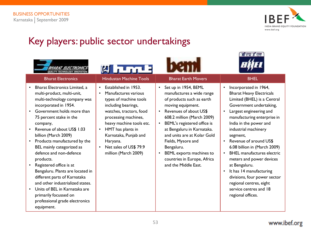

 $d$ *v*  $f$ *v* $n$ 

# Key players: public sector undertakings

|                                                                                                                                                                                                                                                                                                                                                                                                                                                                                                                                                                                                                | А Питрів                                                                                                                                                                                                                                                                                                                        |                                                                                                                                                                                                                                                                                                                                                                                                                       |                                                                                                                                                                                                                                                                                                                                                                                                                                                                                                                                          |
|----------------------------------------------------------------------------------------------------------------------------------------------------------------------------------------------------------------------------------------------------------------------------------------------------------------------------------------------------------------------------------------------------------------------------------------------------------------------------------------------------------------------------------------------------------------------------------------------------------------|---------------------------------------------------------------------------------------------------------------------------------------------------------------------------------------------------------------------------------------------------------------------------------------------------------------------------------|-----------------------------------------------------------------------------------------------------------------------------------------------------------------------------------------------------------------------------------------------------------------------------------------------------------------------------------------------------------------------------------------------------------------------|------------------------------------------------------------------------------------------------------------------------------------------------------------------------------------------------------------------------------------------------------------------------------------------------------------------------------------------------------------------------------------------------------------------------------------------------------------------------------------------------------------------------------------------|
| <b>Bharat Electronics</b>                                                                                                                                                                                                                                                                                                                                                                                                                                                                                                                                                                                      | <b>Hindustan Machine Tools</b>                                                                                                                                                                                                                                                                                                  | <b>Bharat Earth Movers</b>                                                                                                                                                                                                                                                                                                                                                                                            | <b>BHEL</b>                                                                                                                                                                                                                                                                                                                                                                                                                                                                                                                              |
| Bharat Electronics Limited, a<br>multi-product, multi-unit,<br>multi-technology company was<br>incorporated in 1954.<br>Government holds more than<br>75 percent stake in the<br>company,<br>Revenue of about US\$ 1.03<br>billion (March 2009)<br>Products manufactured by the<br>$\bullet$<br>BEL mainly categorized as<br>defence and non-defence<br>products.<br>Registered office is at<br>Bengaluru. Plants are located in<br>different parts of Karnataka<br>and other industrialized states.<br>Units of BEL in Karnataka are<br>primarily focussed on<br>professional grade electronics<br>equipment. | Established in 1953.<br>$\bullet$<br>Manufactures various<br>types of machine tools<br>including bearings,<br>watches, tractors, food<br>processing machines,<br>heavy machine tools etc.<br>HMT has plants in<br>$\bullet$<br>Karnataka, Punjab and<br>Haryana.<br>Net sales of US\$ 79.9<br>$\bullet$<br>million (March 2009) | Set up in 1954, BEML<br>$\bullet$<br>manufactures a wide range<br>of products such as earth<br>moving equipment.<br>Revenues of about US\$<br>$\bullet$<br>608.2 million (March 2009)<br>BEML's registered office is<br>$\bullet$<br>at Bengaluru in Karnataka.<br>and units are at Kolar Gold<br>Fields, Mysore and<br>Bengaluru.<br>BEML exports machines to<br>countries in Europe, Africa<br>and the Middle East. | Incorporated in 1964,<br><b>Bharat Heavy Electricals</b><br>Limited (BHEL) is a Central<br>Government undertaking,<br>Largest engineering and<br>manufacturing enterprise in<br>India in the power and<br>industrial machinery<br>segment,<br>Revenue of around US\$<br>6.08 billion in (March 2009)<br><b>BHEL</b> manufactures electric<br>meters and power devices<br>at Bengaluru.<br>It has 14 manufacturing<br>$\bullet$<br>divisions, four power sector<br>regional centres, eight<br>service centres and 18<br>regional offices. |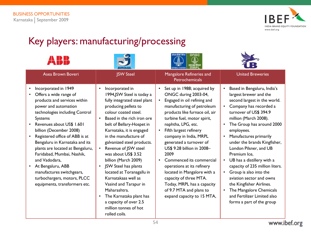

 $\mathbf{r}$ 

# Key players: manufacturing/processing

|                                                                                                                                                                                                                                                                                                                                                                                                                                                                                        |                                                                                                                                                                                                                                                                                                                                                                                                                                                                                                                                                                                                           | lowskiet likke<br>ongc                                                                                                                                                                                                                                                                                                                                                                                                                                                                                                                                                                     |                                                                                                                                                                                                                                                                                                                                                                                                                                                                                                                                                                                                                                           |
|----------------------------------------------------------------------------------------------------------------------------------------------------------------------------------------------------------------------------------------------------------------------------------------------------------------------------------------------------------------------------------------------------------------------------------------------------------------------------------------|-----------------------------------------------------------------------------------------------------------------------------------------------------------------------------------------------------------------------------------------------------------------------------------------------------------------------------------------------------------------------------------------------------------------------------------------------------------------------------------------------------------------------------------------------------------------------------------------------------------|--------------------------------------------------------------------------------------------------------------------------------------------------------------------------------------------------------------------------------------------------------------------------------------------------------------------------------------------------------------------------------------------------------------------------------------------------------------------------------------------------------------------------------------------------------------------------------------------|-------------------------------------------------------------------------------------------------------------------------------------------------------------------------------------------------------------------------------------------------------------------------------------------------------------------------------------------------------------------------------------------------------------------------------------------------------------------------------------------------------------------------------------------------------------------------------------------------------------------------------------------|
| Asea Brown Boveri                                                                                                                                                                                                                                                                                                                                                                                                                                                                      | <b>JSW Steel</b>                                                                                                                                                                                                                                                                                                                                                                                                                                                                                                                                                                                          | Mangalore Refineries and<br><b>Petrochemicals</b>                                                                                                                                                                                                                                                                                                                                                                                                                                                                                                                                          | <b>United Breweries</b>                                                                                                                                                                                                                                                                                                                                                                                                                                                                                                                                                                                                                   |
| Incorporated in 1949<br>Offers a wide range of<br>products and services within<br>power and automation<br>technologies including Control<br>Systems<br>Revenues about US\$ 1.601<br>billion (December 2008)<br>Registered office of ABB is at<br>Bengaluru in Karnataka and its<br>plants are located at Bengaluru,<br>Faridabad, Mumbai, Nashik,<br>and Vadodara,<br>• At Bengaluru, ABB<br>manufactures switchgears,<br>turbochargers, motors, PLCC<br>equipments, transformers etc. | Incorporated in<br>$\bullet$<br>1994, JSW Steel is today a<br>fully integrated steel plant<br>producing pellets to<br>colour coated steel.<br>Based in the rich iron ore<br>belt of Bellary-Hospet in<br>Karnataka, it is engaged<br>in the manufacture of<br>galvanized steel products.<br>Revenue of JSW steel<br>$\bullet$<br>was about US\$ 3.52<br>billion (March 2009)<br>JSW Steel has plants<br>$\bullet$<br>located at Toranagallu in<br>Karnatakaas well as<br>Vasind and Tarapur in<br>Maharashtra.<br>The Karnataka plant has<br>$\bullet$<br>a capacity of over 2.5<br>million tonnes of hot | Set up in 1988; acquired by<br>$\bullet$<br>ONGC during 2003-04,<br>Engaged in oil refining and<br>$\bullet$<br>manufacturing of petroleum<br>products like furnace oil, air<br>turbine fuel, motor spirit,<br>naphtha, LPG, etc.<br>Fifth largest refinery<br>$\bullet$<br>company in India, MRPL<br>generated a turnover of<br>US\$ 9.28 billion in 2008-<br>2009<br>Commenced its commercial<br>$\bullet$<br>operations at its refinery<br>located in Mangalore with a<br>capacity of three MTA.<br>Today, MRPL has a capacity<br>of 9.7 MTA and plans to<br>expand capacity to 15 MTA, | Based in Bengaluru, India's<br>$\bullet$<br>largest brewer and the<br>second largest in the world.<br>Company has recorded a<br>$\bullet$<br>turnover of US\$ 394.9<br>million (March 2008).<br>The Group has around 2000<br>$\bullet$<br>employees.<br>Manufactures primarily<br>$\bullet$<br>under the brands Kingfisher,<br>London Pilsner, and UB<br>Premium Ice,<br>UB has a distillery with a<br>$\bullet$<br>capacity of 235 million liters.<br>Group is also into the<br>$\bullet$<br>aviation sector and owns<br>the Kingfisher Airlines.<br>The Mangalore Chemicals<br>and Fertilizer Limited also<br>forms a part of the group |
|                                                                                                                                                                                                                                                                                                                                                                                                                                                                                        | rolled coils.                                                                                                                                                                                                                                                                                                                                                                                                                                                                                                                                                                                             |                                                                                                                                                                                                                                                                                                                                                                                                                                                                                                                                                                                            |                                                                                                                                                                                                                                                                                                                                                                                                                                                                                                                                                                                                                                           |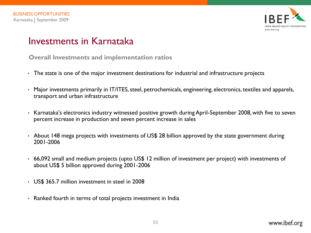

## Investments in Karnataka

**Overall Investments and implementation ratios**

- The state is one of the major investment destinations for industrial and infrastructure projects
- Major investments primarily in IT/ITES, steel, petrochemicals, engineering, electronics, textiles and apparels, transport and urban infrastructure
- Karnataka's electronics industry witnessed positive growth during April-September 2008, with five to seven percent increase in production and seven percent increase in sales
- About 148 mega projects with investments of US\$ 28 billion approved by the state government during 2001-2006
- 66,092 small and medium projects (upto US\$ 12 million of investment per project) with investments of about US\$ 5 billion approved during 2001-2006
- US\$ 365.7 million investment in steel in 2008
- Ranked fourth in terms of total projects investment in India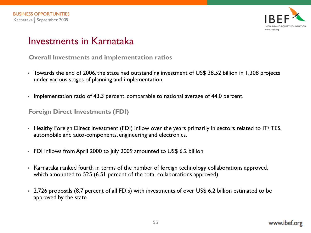

## Investments in Karnataka

**Overall Investments and implementation ratios**

- Towards the end of 2006, the state had outstanding investment of US\$ 38.52 billion in 1,308 projects under various stages of planning and implementation
- Implementation ratio of 43.3 percent, comparable to national average of 44.0 percent.

#### **Foreign Direct Investments (FDI)**

- Healthy Foreign Direct Investment (FDI) inflow over the years primarily in sectors related to IT/ITES, automobile and auto-components, engineering and electronics.
- FDI inflows from April 2000 to July 2009 amounted to US\$ 6.2 billion
- Karnataka ranked fourth in terms of the number of foreign technology collaborations approved, which amounted to 525 (6.51 percent of the total collaborations approved)
- 2,726 proposals (8.7 percent of all FDIs) with investments of over US\$ 6.2 billion estimated to be approved by the state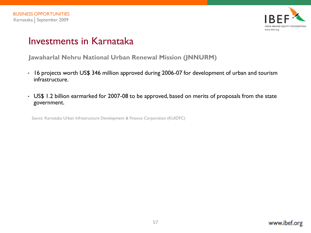

## Investments in Karnataka

**Jawaharlal Nehru National Urban Renewal Mission (JNNURM)**

- 16 projects worth US\$ 346 million approved during 2006-07 for development of urban and tourism infrastructure.
- US\$ 1.2 billion earmarked for 2007-08 to be approved, based on merits of proposals from the state government.

*Source:* Karnataka Urban Infrastructure Development & Finance Corporation (KUIDFC)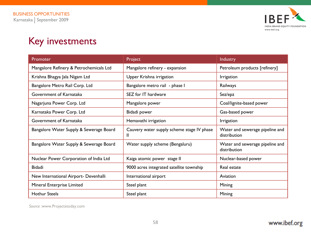

# Key investments

| Promoter                                | Project                                         | Industry                                        |
|-----------------------------------------|-------------------------------------------------|-------------------------------------------------|
| Mangalore Refinery & Petrochemicals Ltd | Mangalore refinery - expansion                  | Petroleum products [refinery]                   |
| Krishna Bhagya Jala Nigam Ltd           | Upper Krishna irrigation                        | <i><u><b>Irrigation</b></u></i>                 |
| Bangalore Metro Rail Corp. Ltd          | Bangalore metro rail - phase I                  | Railways                                        |
| Government of Karnataka                 | SEZ for IT hardware                             | Sez/epz                                         |
| Nagarjuna Power Corp. Ltd               | Mangalore power                                 | Coal/lignite-based power                        |
| Karnataka Power Corp. Ltd               | Bidadi power                                    | Gas-based power                                 |
| Government of Karnataka                 | Hemavathi irrigation                            | Irrigation                                      |
| Bangalore Water Supply & Sewerage Board | Cauvery water supply scheme stage IV phase<br>Ш | Water and sewerage pipeline and<br>distribution |
| Bangalore Water Supply & Sewerage Board | Water supply scheme (Bengaluru)                 | Water and sewerage pipeline and<br>distribution |
| Nuclear Power Corporation of India Ltd  | Kaiga atomic power stage II                     | Nuclear-based power                             |
| <b>Bidadi</b>                           | 9000 acres integrated satellite township        | Real estate                                     |
| New International Airport- Devenhalli   | International airport                           | Aviation                                        |
| Mineral Enterprise Limited              | Steel plant                                     | Mining                                          |
| <b>Hothur Steels</b>                    | Steel plant                                     | Mining                                          |

*Source :*www.Projectstoday.com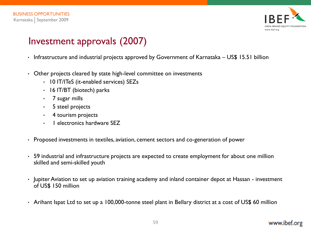

# Investment approvals (2007)

- Infrastructure and industrial projects approved by Government of Karnataka US\$ 15.51 billion
- Other projects cleared by state high-level committee on investments
	- 10 IT/ITeS (it-enabled services) SEZs
	- 16 IT/BT (biotech) parks
	- 7 sugar mills
	- 5 steel projects
	- 4 tourism projects
	- 1 electronics hardware SEZ
- Proposed investments in textiles, aviation, cement sectors and co-generation of power
- 59 industrial and infrastructure projects are expected to create employment for about one million skilled and semi-skilled youth
- Jupiter Aviation to set up aviation training academy and inland container depot at Hassan investment of US\$ 150 million
- Arihant Ispat Ltd to set up a 100,000-tonne steel plant in Bellary district at a cost of US\$ 60 million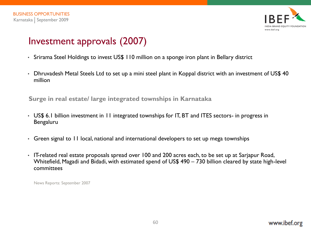

# Investment approvals (2007)

- Srirama Steel Holdings to invest US\$ 110 million on a sponge iron plant in Bellary district
- Dhruvadesh Metal Steels Ltd to set up a mini steel plant in Koppal district with an investment of US\$ 40 million

**Surge in real estate/ large integrated townships in Karnataka**

- US\$ 6.1 billion investment in 11 integrated townships for IT, BT and ITES sectors- in progress in Bengaluru
- Green signal to 11 local, national and international developers to set up mega townships
- IT-related real estate proposals spread over 100 and 200 acres each, to be set up at Sarjapur Road, Whitefield, Magadi and Bidadi, with estimated spend of US\$ 490 – 730 billion cleared by state high-level committees

News Reports: September 2007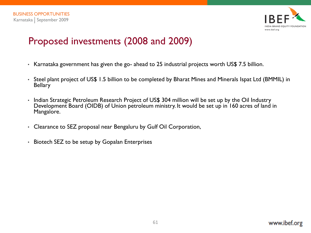

# Proposed investments (2008 and 2009)

- Karnataka government has given the go- ahead to 25 industrial projects worth US\$ 7.5 billion.
- Steel plant project of US\$ 1.5 billion to be completed by Bharat Mines and Minerals Ispat Ltd (BMMIL) in **Bellary**
- Indian Strategic Petroleum Research Project of US\$ 304 million will be set up by the Oil Industry Development Board (OIDB) of Union petroleum ministry. It would be set up in 160 acres of land in Mangalore.
- Clearance to SEZ proposal near Bengaluru by Gulf Oil Corporation,
- Biotech SEZ to be setup by Gopalan Enterprises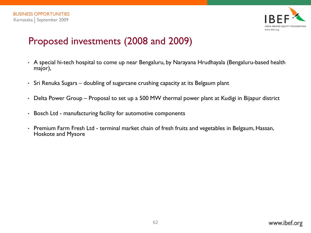

# Proposed investments (2008 and 2009)

- A special hi-tech hospital to come up near Bengaluru, by Narayana Hrudhayala (Bengaluru-based health major),
- Sri Renuka Sugars doubling of sugarcane crushing capacity at its Belgaum plant
- Delta Power Group Proposal to set up a 500 MW thermal power plant at Kudigi in Bijapur district
- Bosch Ltd manufacturing facility for automotive components
- Premium Farm Fresh Ltd terminal market chain of fresh fruits and vegetables in Belgaum, Hassan, Hoskote and Mysore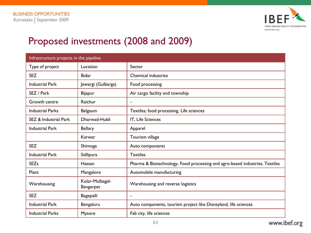

# Proposed investments (2008 and 2009)

| Infrastructure projects in the pipeline |                              |                                                                             |  |  |
|-----------------------------------------|------------------------------|-----------------------------------------------------------------------------|--|--|
| Type of project                         | Location                     | Sector                                                                      |  |  |
| <b>SEZ</b>                              | <b>Bidar</b>                 | <b>Chemical industries</b>                                                  |  |  |
| <b>Industrial Park</b>                  | Jewargi (Gulbarga)           | Food processing                                                             |  |  |
| SEZ / Park                              | <b>Bijapur</b>               | Air cargo facility and township                                             |  |  |
| Growth centre                           | Raichur                      | $\blacksquare$                                                              |  |  |
| <b>Industrial Parks</b>                 | Belgaum                      | Textiles, food processing, Life sciences                                    |  |  |
| <b>SEZ &amp; Industrial Park</b>        | Dharwad-Hubli                | IT, Life Sciences                                                           |  |  |
| <b>Industrial Park</b>                  | <b>Bellary</b>               | Apparel                                                                     |  |  |
|                                         | Karwar                       | Tourism village                                                             |  |  |
| <b>SEZ</b>                              | Shimoga                      | Auto components                                                             |  |  |
| <b>Industrial Park</b>                  | Sidlipura                    | <b>Textiles</b>                                                             |  |  |
| <b>SEZs</b>                             | Hassan                       | Pharma & Biotechnology, Food processing and agro-based industries, Textiles |  |  |
| Plant                                   | Mangalore                    | Automobile manufacturing                                                    |  |  |
| Warehousing                             | Kolar-Mulbagal-<br>Bangarpet | Warehousing and reverse logistics                                           |  |  |
| <b>SEZ</b>                              | <b>Bagepalli</b>             |                                                                             |  |  |
| <b>Industrial Park</b>                  | Bengaluru                    | Auto components, tourism project like Disneyland, life sciences             |  |  |
| <b>Industrial Parks</b>                 | Mysore                       | Fab city, life sciences                                                     |  |  |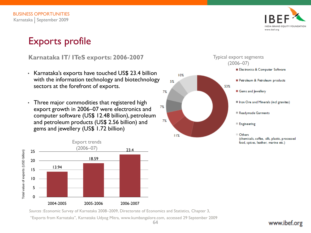

# Exports profile

**Karnataka IT/ ITeS exports: 2006-2007**

- Karnataka's exports have touched US\$ 23.4 billion with the information technology and biotechnology sectors at the forefront of exports.
- Three major commodities that registered high export growth in 2006–07 were electronics and computer software (US\$ 12.48 billion), petroleum and petroleum products (US\$ 2.56 billion) and gems and jewellery (US\$ 1.72 billion)



**Electronics & Computer Software** 10% Petroleum & Petroleum products 5% 53% Gems and lewellery 7% In Iron Ore and Minerals (incl granites) 7% Readymade Garments 7% Engineering **Others** 11% (chemicals, coffee, silk, plastic, processed

Typical export segments (2006–07)

*Sources* :Economic Survey of Karnataka 2008–2009, Directorate of Economics and Statistics, Chapter 3,

―Exports from Karnataka‖, Karnataka Udyog Mitra, www.kumbangalore.com, accessed 29 September 2009

food, spices, leather, marine etc.)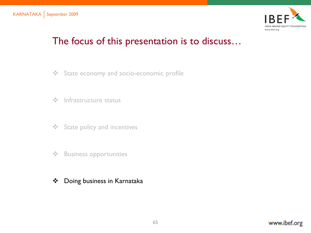

# The focus of this presentation is to discuss…

- State economy and socio-economic profile
- $\div$  Infrastructure status
- **❖** State policy and incentives
- ❖ Business opportunities
- Doing business in Karnataka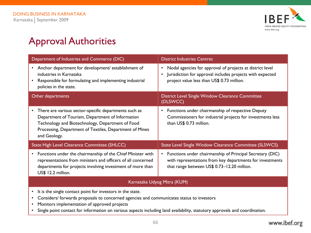

# Approval Authorities

| Department of Industries and Commerce (DIC)                                                                                                                                                                                                           | <b>District Industries Centres</b>                                                                                                                                                             |  |  |  |
|-------------------------------------------------------------------------------------------------------------------------------------------------------------------------------------------------------------------------------------------------------|------------------------------------------------------------------------------------------------------------------------------------------------------------------------------------------------|--|--|--|
| Anchor department for development/ establishment of<br>$\bullet$<br>industries in Karnataka<br>Responsible for formulating and implementing industrial<br>policies in the state.                                                                      | Nodal agencies for approval of projects at district level<br>$\bullet$<br>Jurisdiction for approval includes projects with expected<br>$\bullet$<br>project value less than US\$ 0.73 million. |  |  |  |
| Other departments                                                                                                                                                                                                                                     | District Level Single Window Clearance Committee<br>(DLSWCC)                                                                                                                                   |  |  |  |
| There are various sector-specific departments such as<br>$\bullet$<br>Department of Tourism, Department of Information<br>Technology and Biotechnology, Department of Food<br>Processing, Department of Textiles, Department of Mines<br>and Geology. | Functions under chairmanship of respective Deputy<br>$\bullet$<br>Commissioners for industrial projects for investments less<br>than US\$ 0.73 million.                                        |  |  |  |
| State High Level Clearance Committee (SHLCC)                                                                                                                                                                                                          | State Level Single Window Clearance Committee (SLSWCS)                                                                                                                                         |  |  |  |
| Functions under the chairmanship of the Chief Minister with<br>$\bullet$<br>representations from ministers and officers of all concerned<br>departments for projects involving investment of more than<br>US\$ 12.2 million.                          | Functions under chairmanship of Principal Secretary (DIC)<br>$\bullet$<br>with representations from key departments for investments<br>that range between US\$ 0.73-12.20 million.             |  |  |  |
| Karnataka Udyog Mitra (KUM)                                                                                                                                                                                                                           |                                                                                                                                                                                                |  |  |  |
| It is the single contact point for investors in the state.<br>$\bullet$<br>Considers/ forwards proposals to concerned agencies and communicates status to investors<br>$\bullet$<br>Monitors implementation of approved projects<br>$\bullet$         |                                                                                                                                                                                                |  |  |  |

• Single point contact for information on various aspects including land availability, statutory approvals and coordination.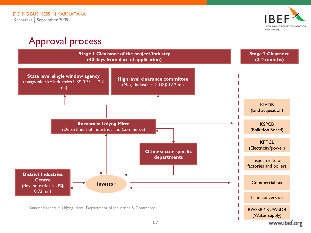

www.ibef.org

# Approval process

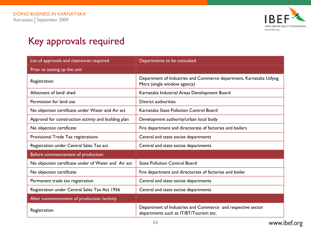

# Key approvals required

| List of approvals and clearances required            | Departments to be consulted                                                                           |
|------------------------------------------------------|-------------------------------------------------------------------------------------------------------|
| Prior to setting up the unit                         |                                                                                                       |
| Registration                                         | Department of Industries and Commerce department, Karnataka Udyog<br>Mitra (single window agency)     |
| Allotment of land/ shed                              | Karnataka Industrial Areas Development Board                                                          |
| Permission for land use                              | District authorities                                                                                  |
| No objection certificate under Water and Air act     | Karnataka State Pollution Control Board                                                               |
| Approval for construction activity and building plan | Development authority/urban local body                                                                |
| No objection certificate                             | Fire department and directorate of factories and boilers                                              |
| Provisional Trade Tax registrations                  | Central and state excise departments                                                                  |
| Registration under Central Sales Tax act             | Central and state excise departments                                                                  |
| Before commencement of production                    |                                                                                                       |
| No objection certificate under of Water and Air act  | <b>State Pollution Control Board</b>                                                                  |
| No objection certificate                             | Fire department and directorate of factories and boiler                                               |
| Permanent trade tax registration                     | Central and state excise departments                                                                  |
| Registration under Central Sales Tax Act 1956        | Central and state excise departments                                                                  |
| After commencement of production /activity           |                                                                                                       |
| Registration                                         | Department of Industries and Commerce and respective sector<br>departments such as IT/BT/Tourism etc. |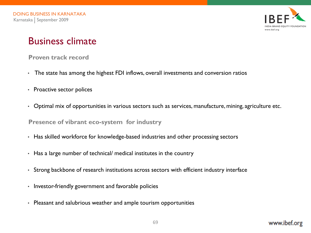

## Business climate

#### **Proven track record**

- The state has among the highest FDI inflows, overall investments and conversion ratios
- Proactive sector polices
- Optimal mix of opportunities in various sectors such as services, manufacture, mining, agriculture etc.

**Presence of vibrant eco-system for industry**

- Has skilled workforce for knowledge-based industries and other processing sectors
- Has a large number of technical/ medical institutes in the country
- Strong backbone of research institutions across sectors with efficient industry interface
- Investor-friendly government and favorable policies
- Pleasant and salubrious weather and ample tourism opportunities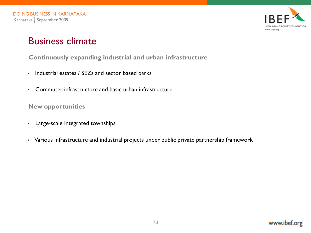

## Business climate

#### **Continuously expanding industrial and urban infrastructure**

- Industrial estates / SEZs and sector based parks
- Commuter infrastructure and basic urban infrastructure

**New opportunities**

- Large-scale integrated townships
- Various infrastructure and industrial projects under public private partnership framework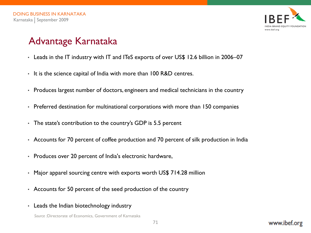

# Advantage Karnataka

- Leads in the IT industry with IT and ITeS exports of over US\$ 12.6 billion in 2006–07
- It is the science capital of India with more than 100 R&D centres.
- Produces largest number of doctors, engineers and medical technicians in the country
- Preferred destination for multinational corporations with more than 150 companies
- The state's contribution to the country's GDP is 5.5 percent
- Accounts for 70 percent of coffee production and 70 percent of silk production in India
- Produces over 20 percent of India's electronic hardware,
- Major apparel sourcing centre with exports worth US\$ 714.28 million
- Accounts for 50 percent of the seed production of the country
- Leads the Indian biotechnology industry

*Source :*Directorate of Economics, Government of Karnataka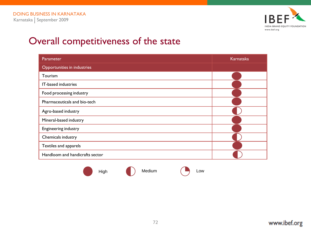

# Overall competitiveness of the state

| Parameter                       | Karnataka |
|---------------------------------|-----------|
| Opportunities in industries     |           |
| Tourism                         |           |
| IT-based industries             |           |
| Food processing industry        |           |
| Pharmaceuticals and bio-tech    |           |
| Agro-based industry             |           |
| Mineral-based industry          |           |
| Engineering industry            |           |
| Chemicals industry              |           |
| Textiles and apparels           |           |
| Handloom and handicrafts sector |           |
|                                 |           |

High (b) Medium (b) Low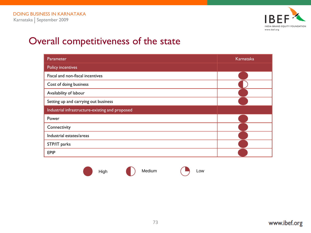

## Overall competitiveness of the state

| Parameter                                       | Karnataka |
|-------------------------------------------------|-----------|
| <b>Policy incentives</b>                        |           |
| Fiscal and non-fiscal incentives                |           |
| Cost of doing business                          |           |
| Availability of labour                          |           |
| Setting up and carrying out business            |           |
| Industrial infrastructure-existing and proposed |           |
| Power                                           |           |
| Connectivity                                    |           |
| Industrial estates/areas                        |           |
| STP/IT parks                                    |           |
| <b>EPIP</b>                                     |           |